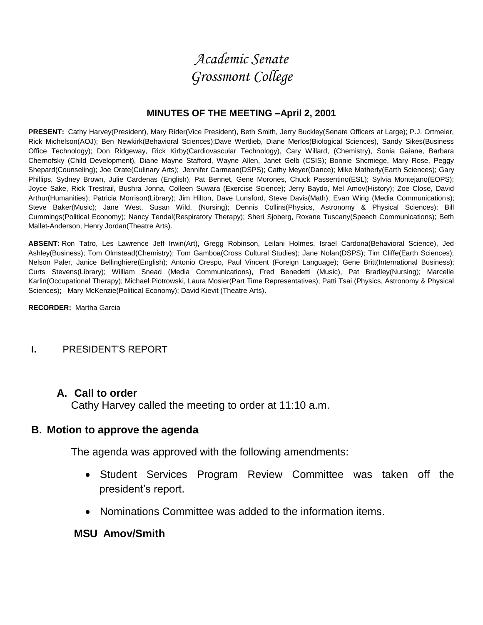# *Academic Senate Grossmont College*

#### **MINUTES OF THE MEETING –April 2, 2001**

**PRESENT:** Cathy Harvey(President), Mary Rider(Vice President), Beth Smith, Jerry Buckley(Senate Officers at Large); P.J. Ortmeier, Rick Michelson(AOJ); Ben Newkirk(Behavioral Sciences);Dave Wertlieb, Diane Merlos(Biological Sciences), Sandy Sikes(Business Office Technology); Don Ridgeway, Rick Kirby(Cardiovascular Technology), Cary Willard, (Chemistry), Sonia Gaiane, Barbara Chernofsky (Child Development), Diane Mayne Stafford, Wayne Allen, Janet Gelb (CSIS); Bonnie Shcmiege, Mary Rose, Peggy Shepard(Counseling); Joe Orate(Culinary Arts); Jennifer Carmean(DSPS); Cathy Meyer(Dance); Mike Matherly(Earth Sciences); Gary Phillips, Sydney Brown, Julie Cardenas (English), Pat Bennet, Gene Morones, Chuck Passentino(ESL); Sylvia Montejano(EOPS); Joyce Sake, Rick Trestrail, Bushra Jonna, Colleen Suwara (Exercise Science); Jerry Baydo, Mel Amov(History); Zoe Close, David Arthur(Humanities); Patricia Morrison(Library); Jim Hilton, Dave Lunsford, Steve Davis(Math); Evan Wirig (Media Communications); Steve Baker(Music); Jane West, Susan Wild, (Nursing); Dennis Collins(Physics, Astronomy & Physical Sciences); Bill Cummings(Political Economy); Nancy Tendal(Respiratory Therapy); Sheri Sjoberg, Roxane Tuscany(Speech Communications); Beth Mallet-Anderson, Henry Jordan(Theatre Arts).

**ABSENT:** Ron Tatro, Les Lawrence Jeff Irwin(Art), Gregg Robinson, Leilani Holmes, Israel Cardona(Behavioral Science), Jed Ashley(Business); Tom Olmstead(Chemistry); Tom Gamboa(Cross Cultural Studies); Jane Nolan(DSPS); Tim Cliffe(Earth Sciences); Nelson Paler, Janice Bellinghiere(English); Antonio Crespo, Paul Vincent (Foreign Language); Gene Britt(International Business); Curts Stevens(Library); William Snead (Media Communications), Fred Benedetti (Music), Pat Bradley(Nursing); Marcelle Karlin(Occupational Therapy); Michael Piotrowski, Laura Mosier(Part Time Representatives); Patti Tsai (Physics, Astronomy & Physical Sciences); Mary McKenzie(Political Economy); David Kievit (Theatre Arts).

**RECORDER:** Martha Garcia

#### **I.** PRESIDENT'S REPORT

#### **A. Call to order**

Cathy Harvey called the meeting to order at 11:10 a.m.

#### **B. Motion to approve the agenda**

The agenda was approved with the following amendments:

- Student Services Program Review Committee was taken off the president's report.
- Nominations Committee was added to the information items.

#### **MSU Amov/Smith**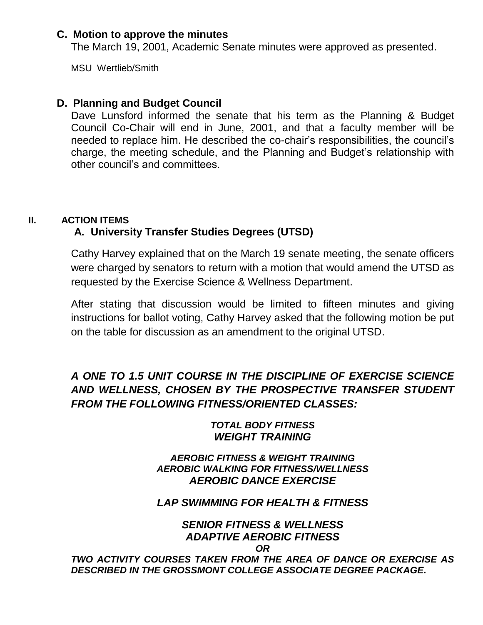#### **C. Motion to approve the minutes**

The March 19, 2001, Academic Senate minutes were approved as presented.

MSU Wertlieb/Smith

## **D. Planning and Budget Council**

Dave Lunsford informed the senate that his term as the Planning & Budget Council Co-Chair will end in June, 2001, and that a faculty member will be needed to replace him. He described the co-chair's responsibilities, the council's charge, the meeting schedule, and the Planning and Budget's relationship with other council's and committees.

## **II. ACTION ITEMS**

# **A. University Transfer Studies Degrees (UTSD)**

Cathy Harvey explained that on the March 19 senate meeting, the senate officers were charged by senators to return with a motion that would amend the UTSD as requested by the Exercise Science & Wellness Department.

After stating that discussion would be limited to fifteen minutes and giving instructions for ballot voting, Cathy Harvey asked that the following motion be put on the table for discussion as an amendment to the original UTSD.

# *A ONE TO 1.5 UNIT COURSE IN THE DISCIPLINE OF EXERCISE SCIENCE AND WELLNESS, CHOSEN BY THE PROSPECTIVE TRANSFER STUDENT FROM THE FOLLOWING FITNESS/ORIENTED CLASSES:*

## *TOTAL BODY FITNESS WEIGHT TRAINING*

#### *AEROBIC FITNESS & WEIGHT TRAINING AEROBIC WALKING FOR FITNESS/WELLNESS AEROBIC DANCE EXERCISE*

## *LAP SWIMMING FOR HEALTH & FITNESS*

#### *SENIOR FITNESS & WELLNESS ADAPTIVE AEROBIC FITNESS OR*

*TWO ACTIVITY COURSES TAKEN FROM THE AREA OF DANCE OR EXERCISE AS DESCRIBED IN THE GROSSMONT COLLEGE ASSOCIATE DEGREE PACKAGE.*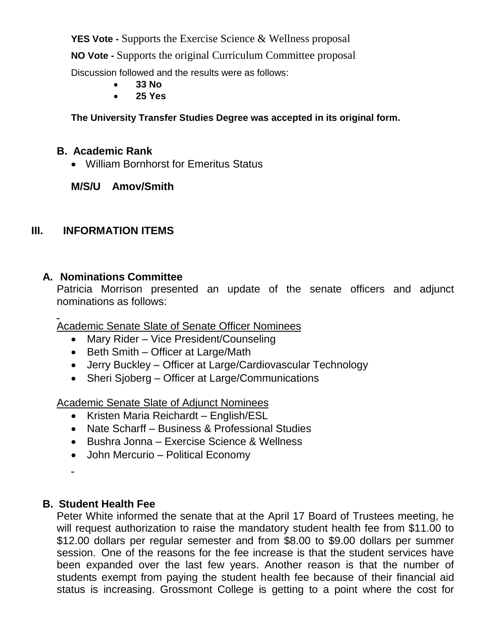**YES Vote -** Supports the Exercise Science & Wellness proposal

**NO Vote -** Supports the original Curriculum Committee proposal

Discussion followed and the results were as follows:

- **33 No**
- **25 Yes**

**The University Transfer Studies Degree was accepted in its original form.**

# **B. Academic Rank**

William Bornhorst for Emeritus Status

## **M/S/U Amov/Smith**

# **III. INFORMATION ITEMS**

## **A. Nominations Committee**

Patricia Morrison presented an update of the senate officers and adjunct nominations as follows:

Academic Senate Slate of Senate Officer Nominees

- Mary Rider Vice President/Counseling
- $\bullet$  Beth Smith Officer at Large/Math
- Jerry Buckley Officer at Large/Cardiovascular Technology
- Sheri Sjoberg Officer at Large/Communications

Academic Senate Slate of Adjunct Nominees

- Kristen Maria Reichardt English/ESL
- Nate Scharff Business & Professional Studies
- Bushra Jonna Exercise Science & Wellness
- John Mercurio Political Economy
- 

## **B. Student Health Fee**

Peter White informed the senate that at the April 17 Board of Trustees meeting, he will request authorization to raise the mandatory student health fee from \$11.00 to \$12.00 dollars per regular semester and from \$8.00 to \$9.00 dollars per summer session. One of the reasons for the fee increase is that the student services have been expanded over the last few years. Another reason is that the number of students exempt from paying the student health fee because of their financial aid status is increasing. Grossmont College is getting to a point where the cost for